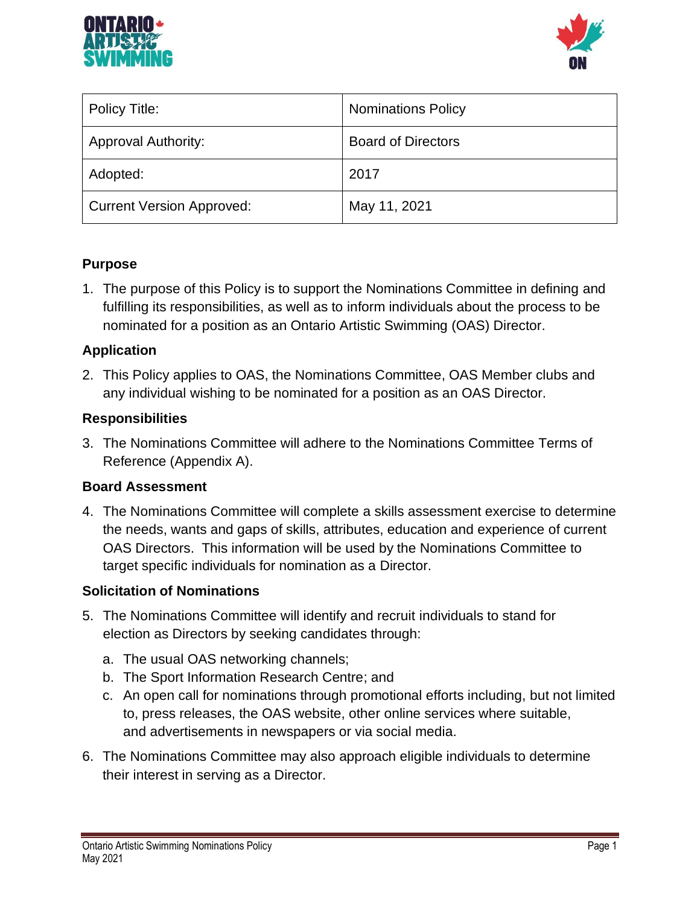



| Policy Title:                    | <b>Nominations Policy</b> |
|----------------------------------|---------------------------|
| <b>Approval Authority:</b>       | <b>Board of Directors</b> |
| Adopted:                         | 2017                      |
| <b>Current Version Approved:</b> | May 11, 2021              |

## **Purpose**

1. The purpose of this Policy is to support the Nominations Committee in defining and fulfilling its responsibilities, as well as to inform individuals about the process to be nominated for a position as an Ontario Artistic Swimming (OAS) Director.

#### **Application**

2. This Policy applies to OAS, the Nominations Committee, OAS Member clubs and any individual wishing to be nominated for a position as an OAS Director.

## **Responsibilities**

3. The Nominations Committee will adhere to the Nominations Committee Terms of Reference (Appendix A).

#### **Board Assessment**

4. The Nominations Committee will complete a skills assessment exercise to determine the needs, wants and gaps of skills, attributes, education and experience of current OAS Directors. This information will be used by the Nominations Committee to target specific individuals for nomination as a Director.

#### **Solicitation of Nominations**

- 5. The Nominations Committee will identify and recruit individuals to stand for election as Directors by seeking candidates through:
	- a. The usual OAS networking channels;
	- b. The Sport Information Research Centre; and
	- c. An open call for nominations through promotional efforts including, but not limited to, press releases, the OAS website, other online services where suitable, and advertisements in newspapers or via social media.
- 6. The Nominations Committee may also approach eligible individuals to determine their interest in serving as a Director.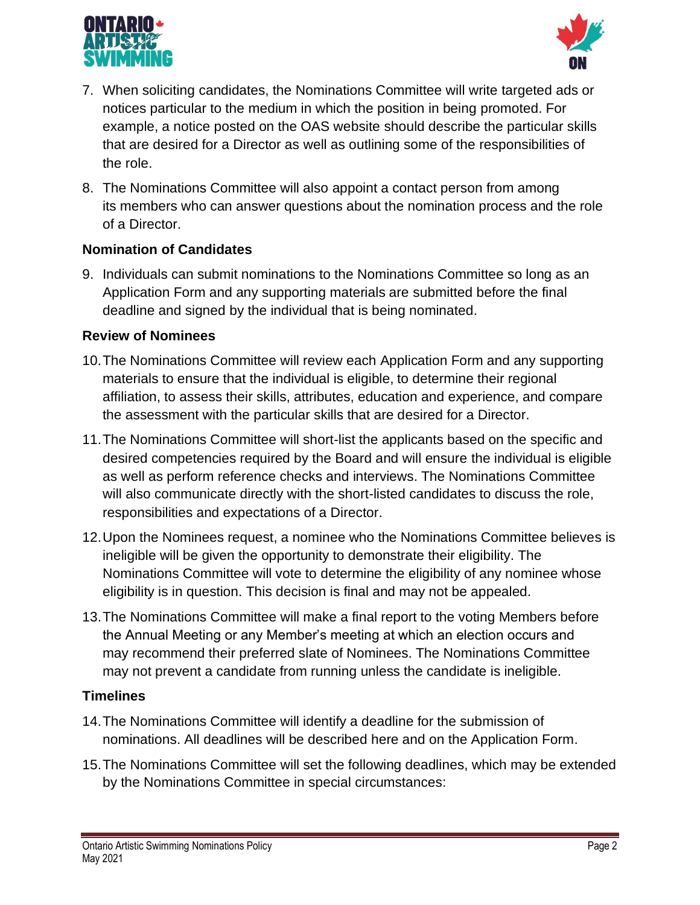



- 7. When soliciting candidates, the Nominations Committee will write targeted ads or notices particular to the medium in which the position in being promoted. For example, a notice posted on the OAS website should describe the particular skills that are desired for a Director as well as outlining some of the responsibilities of the role.
- 8. The Nominations Committee will also appoint a contact person from among its members who can answer questions about the nomination process and the role of a Director.

## **Nomination of Candidates**

9. Individuals can submit nominations to the Nominations Committee so long as an Application Form and any supporting materials are submitted before the final deadline and signed by the individual that is being nominated.

## **Review of Nominees**

- 10.The Nominations Committee will review each Application Form and any supporting materials to ensure that the individual is eligible, to determine their regional affiliation, to assess their skills, attributes, education and experience, and compare the assessment with the particular skills that are desired for a Director.
- 11.The Nominations Committee will short-list the applicants based on the specific and desired competencies required by the Board and will ensure the individual is eligible as well as perform reference checks and interviews. The Nominations Committee will also communicate directly with the short-listed candidates to discuss the role, responsibilities and expectations of a Director.
- 12.Upon the Nominees request, a nominee who the Nominations Committee believes is ineligible will be given the opportunity to demonstrate their eligibility. The Nominations Committee will vote to determine the eligibility of any nominee whose eligibility is in question. This decision is final and may not be appealed.
- 13.The Nominations Committee will make a final report to the voting Members before the Annual Meeting or any Member's meeting at which an election occurs and may recommend their preferred slate of Nominees. The Nominations Committee may not prevent a candidate from running unless the candidate is ineligible.

#### **Timelines**

- 14.The Nominations Committee will identify a deadline for the submission of nominations. All deadlines will be described here and on the Application Form.
- 15.The Nominations Committee will set the following deadlines, which may be extended by the Nominations Committee in special circumstances: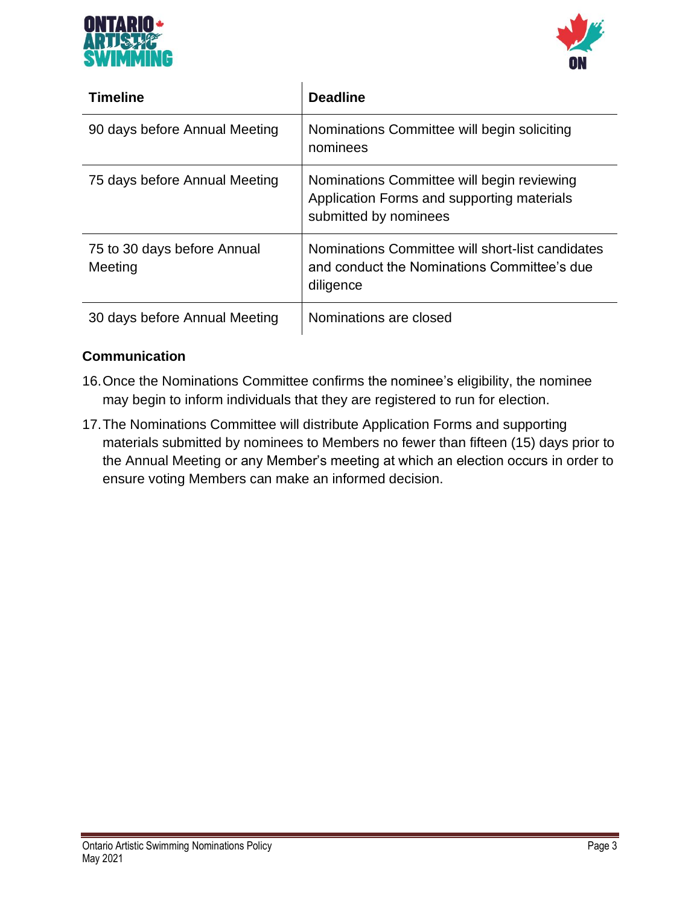



| <b>Timeline</b>                        | <b>Deadline</b>                                                                                                   |
|----------------------------------------|-------------------------------------------------------------------------------------------------------------------|
| 90 days before Annual Meeting          | Nominations Committee will begin soliciting<br>nominees                                                           |
| 75 days before Annual Meeting          | Nominations Committee will begin reviewing<br>Application Forms and supporting materials<br>submitted by nominees |
| 75 to 30 days before Annual<br>Meeting | Nominations Committee will short-list candidates<br>and conduct the Nominations Committee's due<br>diligence      |
| 30 days before Annual Meeting          | Nominations are closed                                                                                            |

## **Communication**

- 16.Once the Nominations Committee confirms the nominee's eligibility, the nominee may begin to inform individuals that they are registered to run for election.
- 17.The Nominations Committee will distribute Application Forms and supporting materials submitted by nominees to Members no fewer than fifteen (15) days prior to the Annual Meeting or any Member's meeting at which an election occurs in order to ensure voting Members can make an informed decision.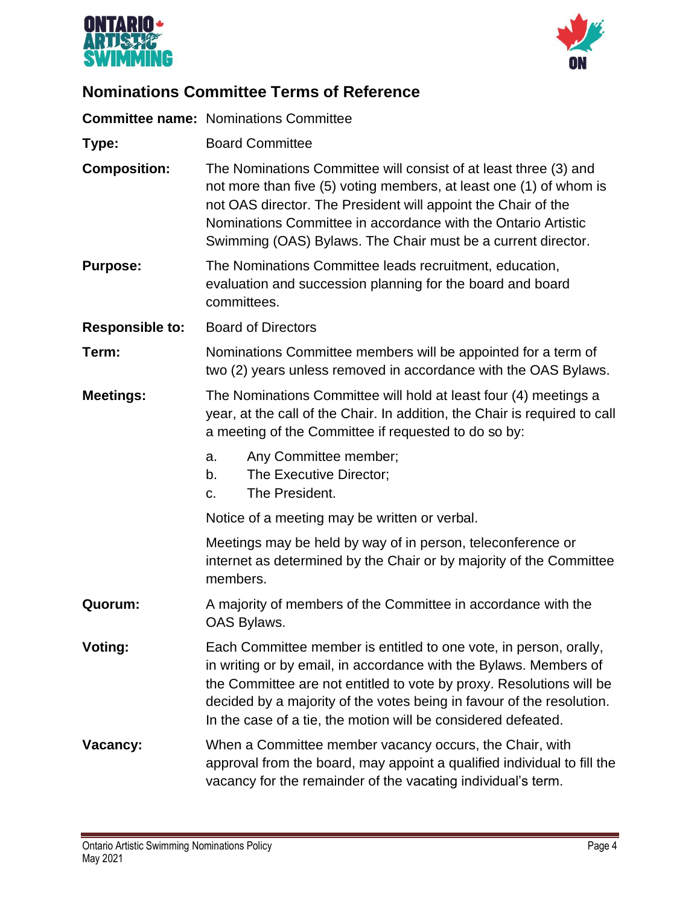



# **Nominations Committee Terms of Reference**

|                        | <b>Committee name: Nominations Committee</b>                                                                                                                                                                                                                                                                                                             |  |
|------------------------|----------------------------------------------------------------------------------------------------------------------------------------------------------------------------------------------------------------------------------------------------------------------------------------------------------------------------------------------------------|--|
| Type:                  | <b>Board Committee</b>                                                                                                                                                                                                                                                                                                                                   |  |
| <b>Composition:</b>    | The Nominations Committee will consist of at least three (3) and<br>not more than five (5) voting members, at least one (1) of whom is<br>not OAS director. The President will appoint the Chair of the<br>Nominations Committee in accordance with the Ontario Artistic<br>Swimming (OAS) Bylaws. The Chair must be a current director.                 |  |
| <b>Purpose:</b>        | The Nominations Committee leads recruitment, education,<br>evaluation and succession planning for the board and board<br>committees.                                                                                                                                                                                                                     |  |
| <b>Responsible to:</b> | <b>Board of Directors</b>                                                                                                                                                                                                                                                                                                                                |  |
| Term:                  | Nominations Committee members will be appointed for a term of<br>two (2) years unless removed in accordance with the OAS Bylaws.                                                                                                                                                                                                                         |  |
| <b>Meetings:</b>       | The Nominations Committee will hold at least four (4) meetings a<br>year, at the call of the Chair. In addition, the Chair is required to call<br>a meeting of the Committee if requested to do so by:                                                                                                                                                   |  |
|                        | Any Committee member;<br>a.<br>The Executive Director;<br>b.<br>The President.<br>c.                                                                                                                                                                                                                                                                     |  |
|                        | Notice of a meeting may be written or verbal.                                                                                                                                                                                                                                                                                                            |  |
|                        | Meetings may be held by way of in person, teleconference or<br>internet as determined by the Chair or by majority of the Committee<br>members.                                                                                                                                                                                                           |  |
| Quorum:                | A majority of members of the Committee in accordance with the<br>OAS Bylaws.                                                                                                                                                                                                                                                                             |  |
| Voting:                | Each Committee member is entitled to one vote, in person, orally,<br>in writing or by email, in accordance with the Bylaws. Members of<br>the Committee are not entitled to vote by proxy. Resolutions will be<br>decided by a majority of the votes being in favour of the resolution.<br>In the case of a tie, the motion will be considered defeated. |  |
| Vacancy:               | When a Committee member vacancy occurs, the Chair, with<br>approval from the board, may appoint a qualified individual to fill the<br>vacancy for the remainder of the vacating individual's term.                                                                                                                                                       |  |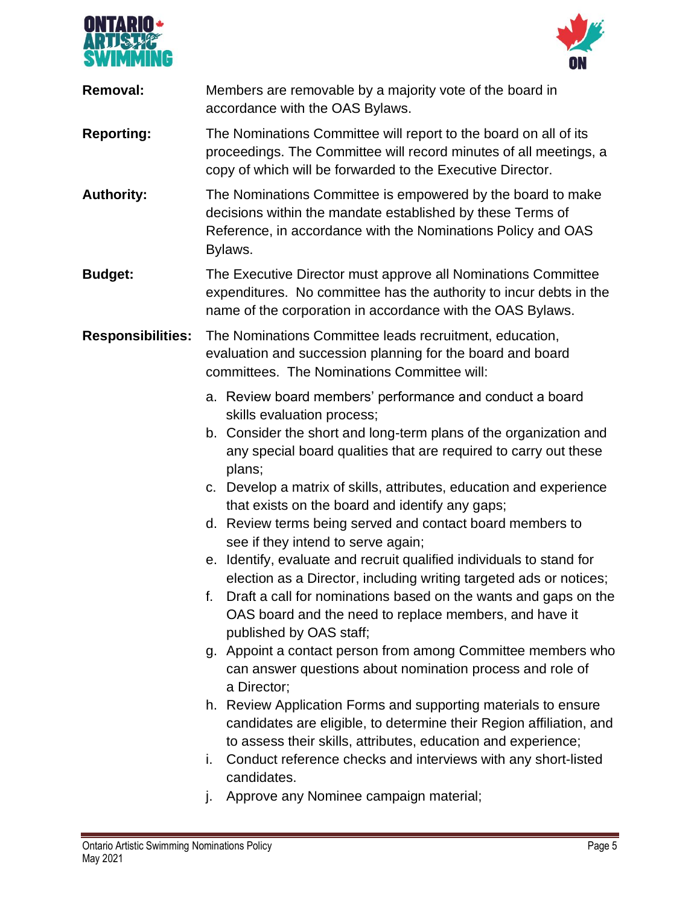



| <b>Removal:</b>          | Members are removable by a majority vote of the board in<br>accordance with the OAS Bylaws.                                                                                                            |
|--------------------------|--------------------------------------------------------------------------------------------------------------------------------------------------------------------------------------------------------|
| <b>Reporting:</b>        | The Nominations Committee will report to the board on all of its<br>proceedings. The Committee will record minutes of all meetings, a<br>copy of which will be forwarded to the Executive Director.    |
| <b>Authority:</b>        | The Nominations Committee is empowered by the board to make<br>decisions within the mandate established by these Terms of<br>Reference, in accordance with the Nominations Policy and OAS<br>Bylaws.   |
| <b>Budget:</b>           | The Executive Director must approve all Nominations Committee<br>expenditures. No committee has the authority to incur debts in the<br>name of the corporation in accordance with the OAS Bylaws.      |
| <b>Responsibilities:</b> | The Nominations Committee leads recruitment, education,<br>evaluation and succession planning for the board and board<br>committees. The Nominations Committee will:                                   |
|                          | a. Review board members' performance and conduct a board                                                                                                                                               |
|                          | skills evaluation process;<br>b. Consider the short and long-term plans of the organization and<br>any special board qualities that are required to carry out these<br>plans;                          |
|                          | c. Develop a matrix of skills, attributes, education and experience<br>that exists on the board and identify any gaps;                                                                                 |
|                          | d. Review terms being served and contact board members to<br>see if they intend to serve again;                                                                                                        |
|                          | e. Identify, evaluate and recruit qualified individuals to stand for<br>election as a Director, including writing targeted ads or notices;                                                             |
|                          | f. Draft a call for nominations based on the wants and gaps on the<br>OAS board and the need to replace members, and have it<br>published by OAS staff;                                                |
|                          | g. Appoint a contact person from among Committee members who<br>can answer questions about nomination process and role of<br>a Director;                                                               |
|                          | h. Review Application Forms and supporting materials to ensure<br>candidates are eligible, to determine their Region affiliation, and<br>to assess their skills, attributes, education and experience; |
|                          | Conduct reference checks and interviews with any short-listed<br>i.<br>candidates.                                                                                                                     |
|                          |                                                                                                                                                                                                        |

j. Approve any Nominee campaign material;